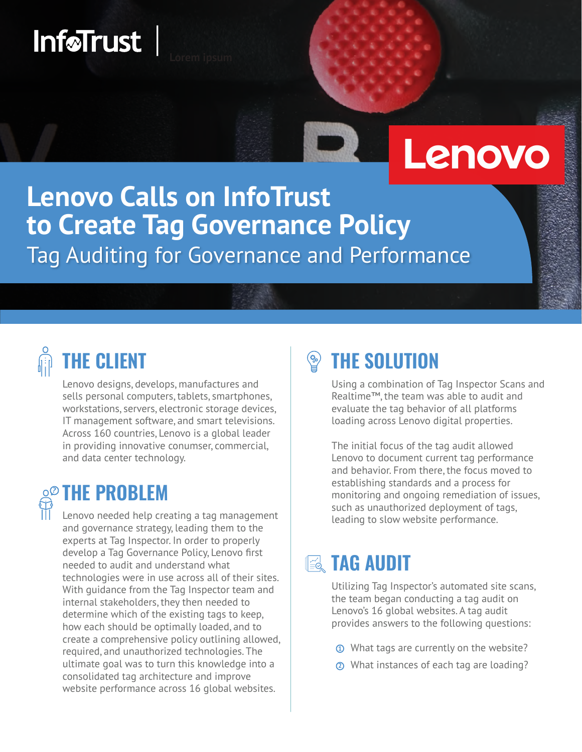# InføTrust<sup>T</sup>

# Lenovo

## **Lenovo Calls on InfoTrust** to Create Tag Governance Policy Tag Auditing for Governance and Performance

## **THE CLIENT**

Lenovo designs, develops, manufactures and sells personal computers, tablets, smartphones, workstations, servers, electronic storage devices, IT management software, and smart televisions. Across 160 countries, Lenovo is a global leader in providing innovative conumser, commercial, and data center technology.

## **Q<sup>@</sup> THE PROBLEM**

Lenovo needed help creating a tag management and governance strategy, leading them to the experts at Tag Inspector. In order to properly develop a Tag Governance Policy, Lenovo first needed to audit and understand what technologies were in use across all of their sites. With quidance from the Tag Inspector team and internal stakeholders, they then needed to determine which of the existing tags to keep, how each should be optimally loaded, and to create a comprehensive policy outlining allowed, required, and unauthorized technologies. The ultimate goal was to turn this knowledge into a consolidated tag architecture and improve website performance across 16 global websites.

#### **THE SOLUTION**  $\overline{\mathcal{C}}^{\circ}_{\mathcal{D}}$

Using a combination of Tag Inspector Scans and Realtime™, the team was able to audit and evaluate the tag behavior of all platforms loading across Lenovo digital properties.

The initial focus of the tag audit allowed Lenovo to document current tag performance and behavior. From there, the focus moved to establishing standards and a process for monitoring and ongoing remediation of issues, such as unauthorized deployment of tags, leading to slow website performance.

## **IE& TAG AUDIT**

Utilizing Tag Inspector's automated site scans, the team began conducting a tag audit on Lenovo's 16 global websites. A tag audit provides answers to the following questions:

- **1** What tags are currently on the website?
- 2 What instances of each tag are loading?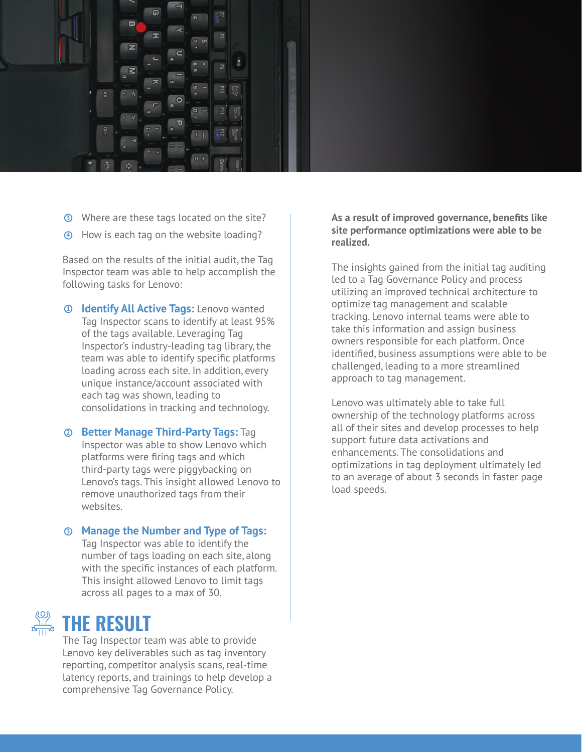

- **3** Where are these tags located on the site?
- 4 How is each tag on the website loading?

Based on the results of the initial audit, the Taq Inspector team was able to help accomplish the following tasks for Lenovo:

- **<sup>1</sup> Identify All Active Tags: Lenovo wanted** Tag Inspector scans to identify at least 95% of the tags available. Leveraging Tag Inspector's industry-leading tag library, the team was able to identify specific platforms loading across each site. In addition, every unique instance/account associated with each tag was shown, leading to consolidations in tracking and technology.
- **2 Better Manage Third-Party Tags: Tag** Inspector was able to show Lenovo which platforms were firing tags and which third-party tags were piggybacking on Lenovo's tags. This insight allowed Lenovo to remove unauthorized tags from their websites.
- **3** Manage the Number and Type of Tags: Tag Inspector was able to identify the

number of tags loading on each site, along with the specific instances of each platform. This insight allowed Lenovo to limit tags across all pages to a max of 30.

#### THE RESULT

The Tag Inspector team was able to provide Lenovo key deliverables such as tag inventory reporting, competitor analysis scans, real-time latency reports, and trainings to help develop a comprehensive Tag Governance Policy.

As a result of improved governance, benefits like site performance optimizations were able to be realized.

The insights gained from the initial tag auditing led to a Tag Governance Policy and process utilizing an improved technical architecture to optimize tag management and scalable tracking. Lenovo internal teams were able to take this information and assign business owners responsible for each platform. Once identified, business assumptions were able to be challenged, leading to a more streamlined approach to tag management.

Lenovo was ultimately able to take full ownership of the technology platforms across all of their sites and develop processes to help support future data activations and enhancements. The consolidations and optimizations in tag deployment ultimately led to an average of about 3 seconds in faster page load speeds.